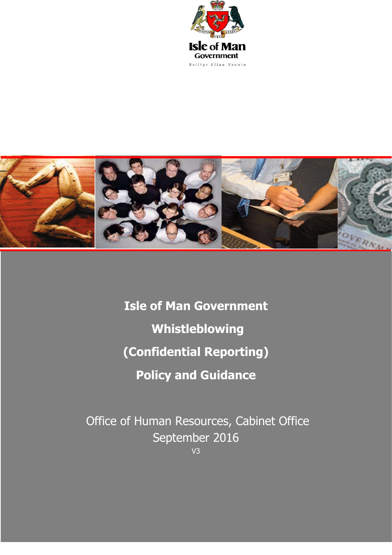



**Isle of Man Government Whistleblowing (Confidential Reporting) Policy and Guidance**

Office of Human Resources, Cabinet Office September 2016 V3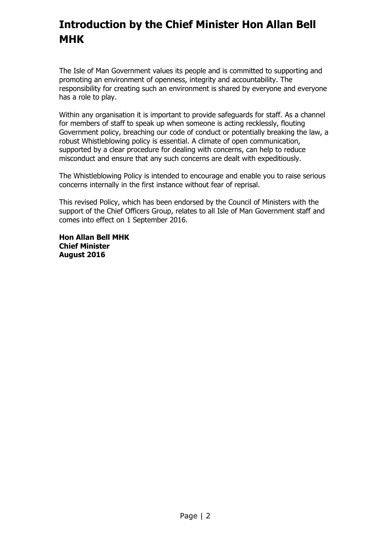# **Introduction by the Chief Minister Hon Allan Bell MHK**

The Isle of Man Government values its people and is committed to supporting and promoting an environment of openness, integrity and accountability. The responsibility for creating such an environment is shared by everyone and everyone has a role to play.

Within any organisation it is important to provide safeguards for staff. As a channel for members of staff to speak up when someone is acting recklessly, flouting Government policy, breaching our code of conduct or potentially breaking the law, a robust Whistleblowing policy is essential. A climate of open communication, supported by a clear procedure for dealing with concerns, can help to reduce misconduct and ensure that any such concerns are dealt with expeditiously.

The Whistleblowing Policy is intended to encourage and enable you to raise serious concerns internally in the first instance without fear of reprisal.

This revised Policy, which has been endorsed by the Council of Ministers with the support of the Chief Officers Group, relates to all Isle of Man Government staff and comes into effect on 1 September 2016.

**Hon Allan Bell MHK Chief Minister August 2016**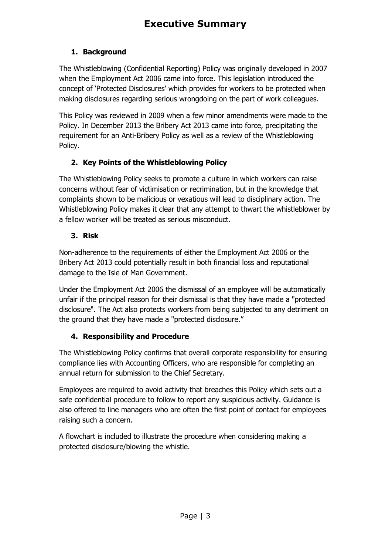# <span id="page-2-0"></span>**1. Background**

The Whistleblowing (Confidential Reporting) Policy was originally developed in 2007 when the Employment Act 2006 came into force. This legislation introduced the concept of 'Protected Disclosures' which provides for workers to be protected when making disclosures regarding serious wrongdoing on the part of work colleagues.

This Policy was reviewed in 2009 when a few minor amendments were made to the Policy. In December 2013 the Bribery Act 2013 came into force, precipitating the requirement for an Anti-Bribery Policy as well as a review of the Whistleblowing Policy.

# **2. Key Points of the Whistleblowing Policy**

The Whistleblowing Policy seeks to promote a culture in which workers can raise concerns without fear of victimisation or recrimination, but in the knowledge that complaints shown to be malicious or vexatious will lead to disciplinary action. The Whistleblowing Policy makes it clear that any attempt to thwart the whistleblower by a fellow worker will be treated as serious misconduct.

# **3. Risk**

Non-adherence to the requirements of either the Employment Act 2006 or the Bribery Act 2013 could potentially result in both financial loss and reputational damage to the Isle of Man Government.

Under the Employment Act 2006 the dismissal of an employee will be automatically unfair if the principal reason for their dismissal is that they have made a "protected disclosure". The Act also protects workers from being subjected to any detriment on the ground that they have made a "protected disclosure."

# **4. Responsibility and Procedure**

The Whistleblowing Policy confirms that overall corporate responsibility for ensuring compliance lies with Accounting Officers, who are responsible for completing an annual return for submission to the Chief Secretary.

Employees are required to avoid activity that breaches this Policy which sets out a safe confidential procedure to follow to report any suspicious activity. Guidance is also offered to line managers who are often the first point of contact for employees raising such a concern.

A flowchart is included to illustrate the procedure when considering making a protected disclosure/blowing the whistle.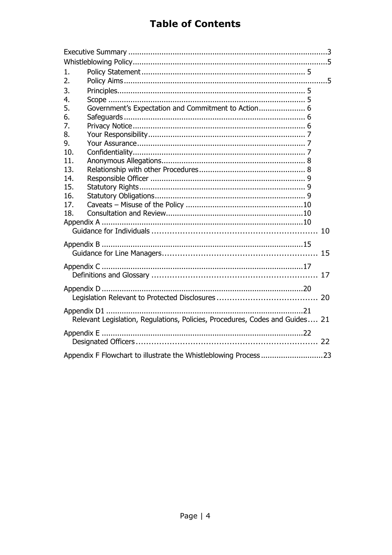# **Table of Contents**

| 1.                                                                           |                                                     |  |
|------------------------------------------------------------------------------|-----------------------------------------------------|--|
| 2.                                                                           |                                                     |  |
| 3.                                                                           |                                                     |  |
| 4.                                                                           |                                                     |  |
| 5.                                                                           | Government's Expectation and Commitment to Action 6 |  |
| 6.                                                                           |                                                     |  |
| 7.                                                                           |                                                     |  |
| 8.                                                                           |                                                     |  |
| 9.                                                                           |                                                     |  |
| 10.                                                                          |                                                     |  |
| 11.                                                                          |                                                     |  |
| 13.                                                                          |                                                     |  |
| 14.                                                                          |                                                     |  |
| 15.                                                                          |                                                     |  |
| 16.                                                                          |                                                     |  |
| 17.                                                                          |                                                     |  |
| 18.                                                                          |                                                     |  |
|                                                                              |                                                     |  |
|                                                                              |                                                     |  |
|                                                                              |                                                     |  |
|                                                                              |                                                     |  |
|                                                                              |                                                     |  |
|                                                                              |                                                     |  |
|                                                                              |                                                     |  |
|                                                                              |                                                     |  |
|                                                                              |                                                     |  |
| Relevant Legislation, Regulations, Policies, Procedures, Codes and Guides 21 |                                                     |  |
|                                                                              |                                                     |  |
|                                                                              |                                                     |  |
| Appendix F Flowchart to illustrate the Whistleblowing Process 23             |                                                     |  |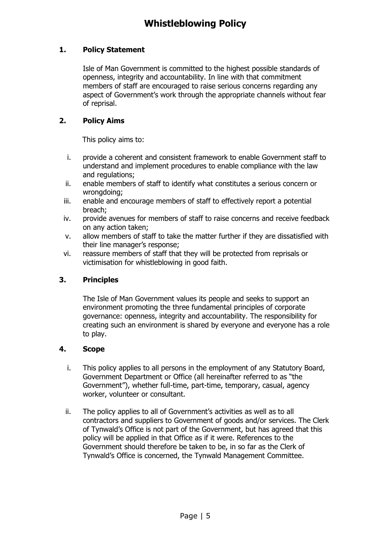### <span id="page-4-1"></span><span id="page-4-0"></span>**1. Policy Statement**

Isle of Man Government is committed to the highest possible standards of openness, integrity and accountability. In line with that commitment members of staff are encouraged to raise serious concerns regarding any aspect of Government's work through the appropriate channels without fear of reprisal.

### <span id="page-4-2"></span>**2. Policy Aims**

This policy aims to:

- i. provide a coherent and consistent framework to enable Government staff to understand and implement procedures to enable compliance with the law and regulations;
- ii. enable members of staff to identify what constitutes a serious concern or wronadoina:
- iii. enable and encourage members of staff to effectively report a potential breach;
- iv. provide avenues for members of staff to raise concerns and receive feedback on any action taken;
- v. allow members of staff to take the matter further if they are dissatisfied with their line manager's response;
- vi. reassure members of staff that they will be protected from reprisals or victimisation for whistleblowing in good faith.

### <span id="page-4-3"></span>**3. Principles**

The Isle of Man Government values its people and seeks to support an environment promoting the three fundamental principles of corporate governance: openness, integrity and accountability. The responsibility for creating such an environment is shared by everyone and everyone has a role to play.

#### <span id="page-4-4"></span>**4. Scope**

- i. This policy applies to all persons in the employment of any Statutory Board, Government Department or Office (all hereinafter referred to as "the Government"), whether full-time, part-time, temporary, casual, agency worker, volunteer or consultant.
- ii. The policy applies to all of Government's activities as well as to all contractors and suppliers to Government of goods and/or services. The Clerk of Tynwald's Office is not part of the Government, but has agreed that this policy will be applied in that Office as if it were. References to the Government should therefore be taken to be, in so far as the Clerk of Tynwald's Office is concerned, the Tynwald Management Committee.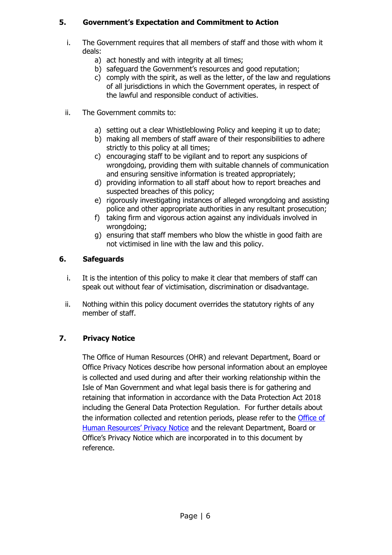# <span id="page-5-0"></span>**5. Government's Expectation and Commitment to Action**

- i. The Government requires that all members of staff and those with whom it deals:
	- a) act honestly and with integrity at all times;
	- b) safeguard the Government's resources and good reputation;
	- c) comply with the spirit, as well as the letter, of the law and regulations of all jurisdictions in which the Government operates, in respect of the lawful and responsible conduct of activities.
- ii. The Government commits to:
	- a) setting out a clear Whistleblowing Policy and keeping it up to date;
	- b) making all members of staff aware of their responsibilities to adhere strictly to this policy at all times;
	- c) encouraging staff to be vigilant and to report any suspicions of wrongdoing, providing them with suitable channels of communication and ensuring sensitive information is treated appropriately;
	- d) providing information to all staff about how to report breaches and suspected breaches of this policy;
	- e) rigorously investigating instances of alleged wrongdoing and assisting police and other appropriate authorities in any resultant prosecution;
	- f) taking firm and vigorous action against any individuals involved in wrongdoing;
	- g) ensuring that staff members who blow the whistle in good faith are not victimised in line with the law and this policy.

# <span id="page-5-1"></span>**6. Safeguards**

- i. It is the intention of this policy to make it clear that members of staff can speak out without fear of victimisation, discrimination or disadvantage.
- ii. Nothing within this policy document overrides the statutory rights of any member of staff.

# <span id="page-5-2"></span>**7. Privacy Notice**

The Office of Human Resources (OHR) and relevant Department, Board or Office Privacy Notices describe how personal information about an employee is collected and used during and after their working relationship within the Isle of Man Government and what legal basis there is for gathering and retaining that information in accordance with the Data Protection Act 2018 including the General Data Protection Regulation. For further details about the information collected and retention periods, please refer to the **Office of** [Human Resources' Privacy Notice](https://hr.gov.im/privacy-notice/) and the relevant Department, Board or Office's Privacy Notice which are incorporated in to this document by reference.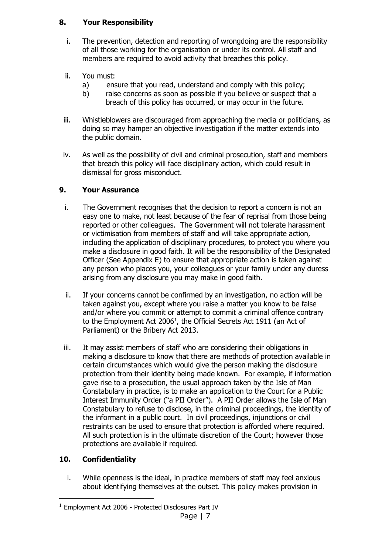### <span id="page-6-0"></span>**8. Your Responsibility**

- i. The prevention, detection and reporting of wrongdoing are the responsibility of all those working for the organisation or under its control. All staff and members are required to avoid activity that breaches this policy.
- ii. You must:
	- a) ensure that you read, understand and comply with this policy;
	- b) raise concerns as soon as possible if you believe or suspect that a breach of this policy has occurred, or may occur in the future.
- iii. Whistleblowers are discouraged from approaching the media or politicians, as doing so may hamper an objective investigation if the matter extends into the public domain.
- iv. As well as the possibility of civil and criminal prosecution, staff and members that breach this policy will face disciplinary action, which could result in dismissal for gross misconduct.

# <span id="page-6-1"></span>**9. Your Assurance**

- i. The Government recognises that the decision to report a concern is not an easy one to make, not least because of the fear of reprisal from those being reported or other colleagues. The Government will not tolerate harassment or victimisation from members of staff and will take appropriate action, including the application of disciplinary procedures, to protect you where you make a disclosure in good faith. It will be the responsibility of the Designated Officer (See Appendix E) to ensure that appropriate action is taken against any person who places you, your colleagues or your family under any duress arising from any disclosure you may make in good faith.
- ii. If your concerns cannot be confirmed by an investigation, no action will be taken against you, except where you raise a matter you know to be false and/or where you commit or attempt to commit a criminal offence contrary to the Employment Act 2006<sup>1</sup>, the Official Secrets Act 1911 (an Act of Parliament) or the Bribery Act 2013.
- iii. It may assist members of staff who are considering their obligations in making a disclosure to know that there are methods of protection available in certain circumstances which would give the person making the disclosure protection from their identity being made known. For example, if information gave rise to a prosecution, the usual approach taken by the Isle of Man Constabulary in practice, is to make an application to the Court for a Public Interest Immunity Order ("a PII Order"). A PII Order allows the Isle of Man Constabulary to refuse to disclose, in the criminal proceedings, the identity of the informant in a public court. In civil proceedings, injunctions or civil restraints can be used to ensure that protection is afforded where required. All such protection is in the ultimate discretion of the Court; however those protections are available if required.

### <span id="page-6-2"></span>**10. Confidentiality**

 $\overline{a}$ 

i. While openness is the ideal, in practice members of staff may feel anxious about identifying themselves at the outset. This policy makes provision in

<sup>1</sup> Employment Act 2006 - Protected Disclosures Part IV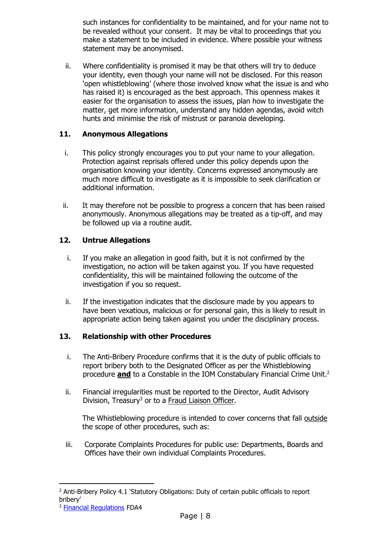such instances for confidentiality to be maintained, and for your name not to be revealed without your consent. It may be vital to proceedings that you make a statement to be included in evidence. Where possible your witness statement may be anonymised.

ii. Where confidentiality is promised it may be that others will try to deduce your identity, even though your name will not be disclosed. For this reason 'open whistleblowing' (where those involved know what the issue is and who has raised it) is encouraged as the best approach. This openness makes it easier for the organisation to assess the issues, plan how to investigate the matter, get more information, understand any hidden agendas, avoid witch hunts and minimise the risk of mistrust or paranoia developing.

### <span id="page-7-0"></span>**11. Anonymous Allegations**

- i. This policy strongly encourages you to put your name to your allegation. Protection against reprisals offered under this policy depends upon the organisation knowing your identity. Concerns expressed anonymously are much more difficult to investigate as it is impossible to seek clarification or additional information.
- ii. It may therefore not be possible to progress a concern that has been raised anonymously. Anonymous allegations may be treated as a tip-off, and may be followed up via a routine audit.

### **12. Untrue Allegations**

- i. If you make an allegation in good faith, but it is not confirmed by the investigation, no action will be taken against you. If you have requested confidentiality, this will be maintained following the outcome of the investigation if you so request.
- ii. If the investigation indicates that the disclosure made by you appears to have been vexatious, malicious or for personal gain, this is likely to result in appropriate action being taken against you under the disciplinary process.

#### <span id="page-7-1"></span>**13. Relationship with other Procedures**

- i. The Anti-Bribery Procedure confirms that it is the duty of public officials to report bribery both to the Designated Officer as per the Whistleblowing procedure **and** to a Constable in the IOM Constabulary Financial Crime Unit. 2
- ii. Financial irregularities must be reported to the Director, Audit Advisory Division, Treasury<sup>3</sup> or to a [Fraud Liaison Officer.](http://rheynnfys/Government/AntiFraud/default.aspx)

The Whistleblowing procedure is intended to cover concerns that fall outside the scope of other procedures, such as:

iii. Corporate Complaints Procedures for public use: Departments, Boards and Offices have their own individual Complaints Procedures.

 $\overline{a}$ 

<sup>&</sup>lt;sup>2</sup> Anti-Bribery Policy 4.1 'Statutory Obligations: Duty of certain public officials to report bribery'

<sup>&</sup>lt;sup>3</sup> [Financial Regulations](https://www.gov.im/media/1366335/financial-regulations-1-july-2020.pdf) FDA4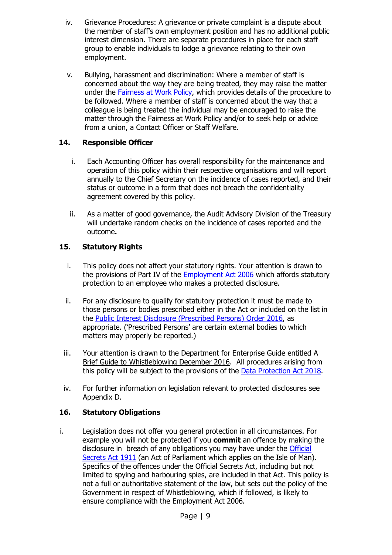- iv. Grievance Procedures: A grievance or private complaint is a dispute about the member of staff's own employment position and has no additional public interest dimension. There are separate procedures in place for each staff group to enable individuals to lodge a grievance relating to their own employment.
- v. Bullying, harassment and discrimination: Where a member of staff is concerned about the way they are being treated, they may raise the matter under the **Fairness at Work Policy**, which provides details of the procedure to be followed. Where a member of staff is concerned about the way that a colleague is being treated the individual may be encouraged to raise the matter through the Fairness at Work Policy and/or to seek help or advice from a union, a Contact Officer or Staff Welfare.

### <span id="page-8-0"></span>**14. Responsible Officer**

- i. Each Accounting Officer has overall responsibility for the maintenance and operation of this policy within their respective organisations and will report annually to the Chief Secretary on the incidence of cases reported, and their status or outcome in a form that does not breach the confidentiality agreement covered by this policy.
- ii. As a matter of good governance, the Audit Advisory Division of the Treasury will undertake random checks on the incidence of cases reported and the outcome**.**

# <span id="page-8-1"></span>**15. Statutory Rights**

- i. This policy does not affect your statutory rights. Your attention is drawn to the provisions of Part IV of the **Employment Act 2006** which affords statutory protection to an employee who makes a protected disclosure.
- ii. For any disclosure to qualify for statutory protection it must be made to those persons or bodies prescribed either in the Act or included on the list in the [Public Interest Disclosure \(Prescribed Persons\) Order 2016,](https://www.gov.im/media/1354554/publicinterestdisclosure-prescribedpersons-order2016.pdf) as appropriate. ('Prescribed Persons' are certain external bodies to which matters may properly be reported.)
- iii. Your attention is drawn to the Department for Enterprise Guide entitled [A](https://www.gov.im/media/1354615/20161219-whistleblowing-guide-plusjc-2-2.pdf)  [Brief Guide to Whistleblowing](https://www.gov.im/media/1354615/20161219-whistleblowing-guide-plusjc-2-2.pdf) December 2016. All procedures arising from this policy will be subject to the provisions of the [Data Protection Act 2018.](https://legislation.gov.im/cms/images/LEGISLATION/PRINCIPAL/2018/2018-0010/DataProtectionAct2018_2.pdf)
- iv. For further information on legislation relevant to protected disclosures see Appendix D.

### <span id="page-8-2"></span>**16. Statutory Obligations**

i. Legislation does not offer you general protection in all circumstances. For example you will not be protected if you **commit** an offence by making the disclosure in breach of any obligations you may have under the Official [Secrets Act 1911](http://www.legislation.gov.uk/ukpga/Geo5/1-2/28/contents) (an Act of Parliament which applies on the Isle of Man). Specifics of the offences under the Official Secrets Act, including but not limited to spying and harbouring spies, are included in that Act. This policy is not a full or authoritative statement of the law, but sets out the policy of the Government in respect of Whistleblowing, which if followed, is likely to ensure compliance with the Employment Act 2006.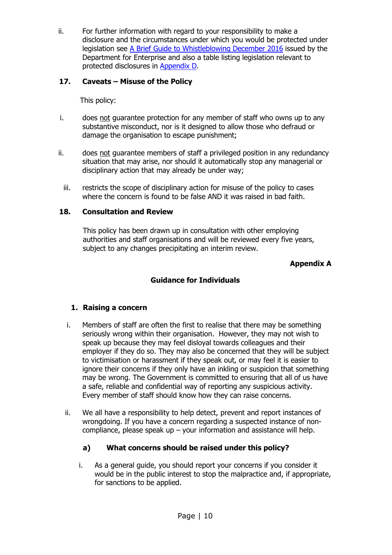ii. For further information with regard to your responsibility to make a disclosure and the circumstances under which you would be protected under legislation see [A Brief Guide to Whistleblowing December 2016](https://www.gov.im/media/1354615/20161219-whistleblowing-guide-plusjc-2-2.pdf) issued by the Department for Enterprise and also a table listing legislation relevant to protected disclosures in [Appendix D.](#page-19-0)

## <span id="page-9-0"></span>**17. Caveats – Misuse of the Policy**

This policy:

- i. does not guarantee protection for any member of staff who owns up to any substantive misconduct, nor is it designed to allow those who defraud or damage the organisation to escape punishment;
- ii. does not guarantee members of staff a privileged position in any redundancy situation that may arise, nor should it automatically stop any managerial or disciplinary action that may already be under way;
	- iii. restricts the scope of disciplinary action for misuse of the policy to cases where the concern is found to be false AND it was raised in bad faith.

### <span id="page-9-1"></span>**18. Consultation and Review**

<span id="page-9-2"></span>This policy has been drawn up in consultation with other employing authorities and staff organisations and will be reviewed every five years, subject to any changes precipitating an interim review.

### **Appendix A**

## **Guidance for Individuals**

### <span id="page-9-3"></span>**1. Raising a concern**

- i. Members of staff are often the first to realise that there may be something seriously wrong within their organisation. However, they may not wish to speak up because they may feel disloyal towards colleagues and their employer if they do so. They may also be concerned that they will be subject to victimisation or harassment if they speak out, or may feel it is easier to ignore their concerns if they only have an inkling or suspicion that something may be wrong. The Government is committed to ensuring that all of us have a safe, reliable and confidential way of reporting any suspicious activity. Every member of staff should know how they can raise concerns.
- ii. We all have a responsibility to help detect, prevent and report instances of wrongdoing. If you have a concern regarding a suspected instance of noncompliance, please speak up – your information and assistance will help.

# **a) What concerns should be raised under this policy?**

i. As a general guide, you should report your concerns if you consider it would be in the public interest to stop the malpractice and, if appropriate, for sanctions to be applied.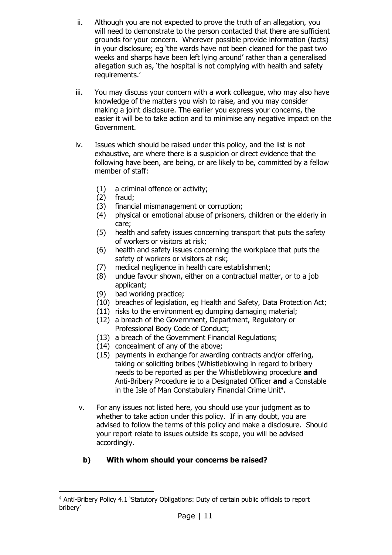- ii. Although you are not expected to prove the truth of an allegation, you will need to demonstrate to the person contacted that there are sufficient grounds for your concern. Wherever possible provide information (facts) in your disclosure; eg 'the wards have not been cleaned for the past two weeks and sharps have been left lying around' rather than a generalised allegation such as, 'the hospital is not complying with health and safety requirements.'
- iii. You may discuss your concern with a work colleague, who may also have knowledge of the matters you wish to raise, and you may consider making a joint disclosure. The earlier you express your concerns, the easier it will be to take action and to minimise any negative impact on the Government.
- iv. Issues which should be raised under this policy, and the list is not exhaustive, are where there is a suspicion or direct evidence that the following have been, are being, or are likely to be, committed by a fellow member of staff:
	- (1) a criminal offence or activity;
	- (2) fraud;

-

- (3) financial mismanagement or corruption;
- (4) physical or emotional abuse of prisoners, children or the elderly in care;
- (5) health and safety issues concerning transport that puts the safety of workers or visitors at risk;
- (6) health and safety issues concerning the workplace that puts the safety of workers or visitors at risk;
- (7) medical negligence in health care establishment;
- (8) undue favour shown, either on a contractual matter, or to a job applicant;
- (9) bad working practice;
- (10) breaches of legislation, eg Health and Safety, Data Protection Act;
- (11) risks to the environment eg dumping damaging material;
- (12) a breach of the Government, Department, Regulatory or Professional Body Code of Conduct;
- (13) a breach of the Government Financial Regulations;
- (14) concealment of any of the above;
- (15) payments in exchange for awarding contracts and/or offering, taking or soliciting bribes (Whistleblowing in regard to bribery needs to be reported as per the Whistleblowing procedure **and**  Anti-Bribery Procedure ie to a Designated Officer **and** a Constable in the Isle of Man Constabulary Financial Crime Unit<sup>4</sup>.
- v. For any issues not listed here, you should use your judgment as to whether to take action under this policy. If in any doubt, you are advised to follow the terms of this policy and make a disclosure. Should your report relate to issues outside its scope, you will be advised accordingly.

# **b) With whom should your concerns be raised?**

<sup>4</sup> Anti-Bribery Policy 4.1 'Statutory Obligations: Duty of certain public officials to report bribery'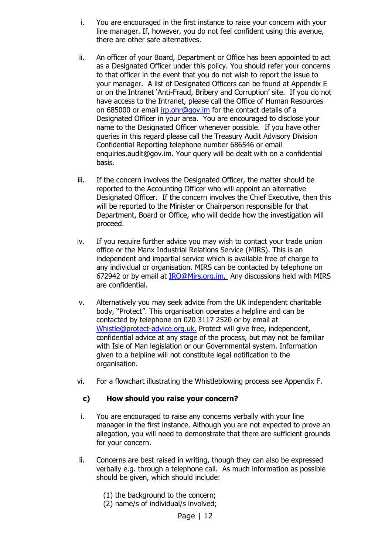- i. You are encouraged in the first instance to raise your concern with your line manager. If, however, you do not feel confident using this avenue, there are other safe alternatives.
- ii. An officer of your Board, Department or Office has been appointed to act as a Designated Officer under this policy. You should refer your concerns to that officer in the event that you do not wish to report the issue to your manager. A list of Designated Officers can be found at Appendix E or on the Intranet 'Anti-Fraud, Bribery and Corruption' site. If you do not have access to the Intranet, please call the Office of Human Resources on 685000 or email [irp.ohr@gov.im](mailto:irp.ohr@gov.im) for the contact details of a Designated Officer in your area. You are encouraged to disclose your name to the Designated Officer whenever possible. If you have other queries in this regard please call the Treasury Audit Advisory Division Confidential Reporting telephone number 686546 or email [enquiries.audit@gov.im.](mailto:audit.fraud@gov.im) Your query will be dealt with on a confidential basis.
- iii. If the concern involves the Designated Officer, the matter should be reported to the Accounting Officer who will appoint an alternative Designated Officer. If the concern involves the Chief Executive, then this will be reported to the Minister or Chairperson responsible for that Department, Board or Office, who will decide how the investigation will proceed.
- iv. If you require further advice you may wish to contact your trade union office or the Manx Industrial Relations Service (MIRS). This is an independent and impartial service which is available free of charge to any individual or organisation. MIRS can be contacted by telephone on 672942 or by email at [IRO@Mirs.org.im.](mailto:IRO@Mirs.org.im) Any discussions held with MIRS are confidential.
- v. Alternatively you may seek advice from the UK independent charitable body, "Protect". This organisation operates a helpline and can be contacted by telephone on 020 3117 2520 or by email at [Whistle@protect-advice.org.uk.](mailto:Whistle@protect-advice.org.uk) Protect will give free, independent, confidential advice at any stage of the process, but may not be familiar with Isle of Man legislation or our Governmental system. Information given to a helpline will not constitute legal notification to the organisation.
- vi. For a flowchart illustrating the Whistleblowing process see Appendix F.

#### **c) How should you raise your concern?**

- i. You are encouraged to raise any concerns verbally with your line manager in the first instance. Although you are not expected to prove an allegation, you will need to demonstrate that there are sufficient grounds for your concern.
- ii. Concerns are best raised in writing, though they can also be expressed verbally e.g. through a telephone call. As much information as possible should be given, which should include:
	- (1) the background to the concern;
	- (2) name/s of individual/s involved;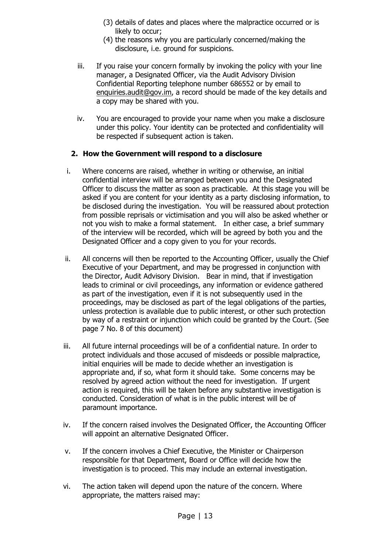- (3) details of dates and places where the malpractice occurred or is likely to occur;
- (4) the reasons why you are particularly concerned/making the disclosure, i.e. ground for suspicions.
- iii. If you raise your concern formally by invoking the policy with your line manager, a Designated Officer, via the Audit Advisory Division Confidential Reporting telephone number 686552 or by email to [enquiries.audit@gov.im,](mailto:audit.fraud@gov.im) a record should be made of the key details and a copy may be shared with you.
- iv. You are encouraged to provide your name when you make a disclosure under this policy. Your identity can be protected and confidentiality will be respected if subsequent action is taken.

### **2. How the Government will respond to a disclosure**

- i. Where concerns are raised, whether in writing or otherwise, an initial confidential interview will be arranged between you and the Designated Officer to discuss the matter as soon as practicable. At this stage you will be asked if you are content for your identity as a party disclosing information, to be disclosed during the investigation. You will be reassured about protection from possible reprisals or victimisation and you will also be asked whether or not you wish to make a formal statement. In either case, a brief summary of the interview will be recorded, which will be agreed by both you and the Designated Officer and a copy given to you for your records.
- ii. All concerns will then be reported to the Accounting Officer, usually the Chief Executive of your Department, and may be progressed in conjunction with the Director, Audit Advisory Division. Bear in mind, that if investigation leads to criminal or civil proceedings, any information or evidence gathered as part of the investigation, even if it is not subsequently used in the proceedings, may be disclosed as part of the legal obligations of the parties, unless protection is available due to public interest, or other such protection by way of a restraint or injunction which could be granted by the Court. (See page 7 No. 8 of this document)
- iii. All future internal proceedings will be of a confidential nature. In order to protect individuals and those accused of misdeeds or possible malpractice, initial enquiries will be made to decide whether an investigation is appropriate and, if so, what form it should take. Some concerns may be resolved by agreed action without the need for investigation. If urgent action is required, this will be taken before any substantive investigation is conducted. Consideration of what is in the public interest will be of paramount importance.
- iv. If the concern raised involves the Designated Officer, the Accounting Officer will appoint an alternative Designated Officer.
- v. If the concern involves a Chief Executive, the Minister or Chairperson responsible for that Department, Board or Office will decide how the investigation is to proceed. This may include an external investigation.
- vi. The action taken will depend upon the nature of the concern. Where appropriate, the matters raised may: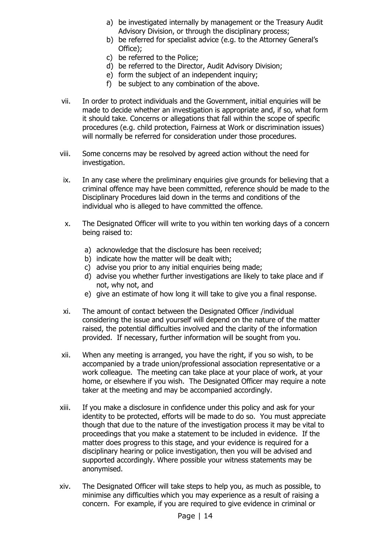- a) be investigated internally by management or the Treasury Audit Advisory Division, or through the disciplinary process;
- b) be referred for specialist advice (e.g. to the Attorney General's Office);
- c) be referred to the Police;
- d) be referred to the Director, Audit Advisory Division;
- e) form the subject of an independent inquiry;
- f) be subject to any combination of the above.
- vii. In order to protect individuals and the Government, initial enquiries will be made to decide whether an investigation is appropriate and, if so, what form it should take. Concerns or allegations that fall within the scope of specific procedures (e.g. child protection, Fairness at Work or discrimination issues) will normally be referred for consideration under those procedures.
- viii. Some concerns may be resolved by agreed action without the need for investigation.
- ix. In any case where the preliminary enquiries give grounds for believing that a criminal offence may have been committed, reference should be made to the Disciplinary Procedures laid down in the terms and conditions of the individual who is alleged to have committed the offence.
- x. The Designated Officer will write to you within ten working days of a concern being raised to:
	- a) acknowledge that the disclosure has been received;
	- b) indicate how the matter will be dealt with;
	- c) advise you prior to any initial enquiries being made;
	- d) advise you whether further investigations are likely to take place and if not, why not, and
	- e) give an estimate of how long it will take to give you a final response.
- xi. The amount of contact between the Designated Officer /individual considering the issue and yourself will depend on the nature of the matter raised, the potential difficulties involved and the clarity of the information provided. If necessary, further information will be sought from you.
- xii. When any meeting is arranged, you have the right, if you so wish, to be accompanied by a trade union/professional association representative or a work colleague. The meeting can take place at your place of work, at your home, or elsewhere if you wish. The Designated Officer may require a note taker at the meeting and may be accompanied accordingly.
- xiii. If you make a disclosure in confidence under this policy and ask for your identity to be protected, efforts will be made to do so. You must appreciate though that due to the nature of the investigation process it may be vital to proceedings that you make a statement to be included in evidence. If the matter does progress to this stage, and your evidence is required for a disciplinary hearing or police investigation, then you will be advised and supported accordingly. Where possible your witness statements may be anonymised.
- xiv. The Designated Officer will take steps to help you, as much as possible, to minimise any difficulties which you may experience as a result of raising a concern. For example, if you are required to give evidence in criminal or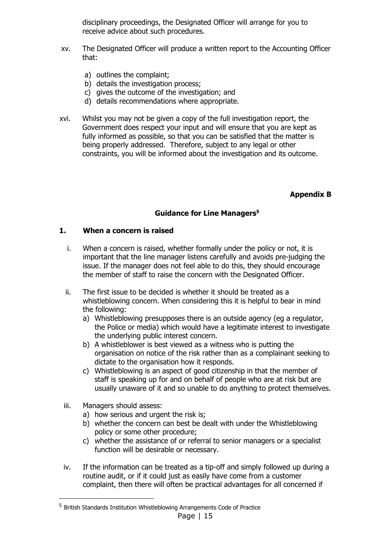disciplinary proceedings, the Designated Officer will arrange for you to receive advice about such procedures.

- xv. The Designated Officer will produce a written report to the Accounting Officer that:
	- a) outlines the complaint;
	- b) details the investigation process;
	- c) gives the outcome of the investigation; and
	- d) details recommendations where appropriate.
- xvi. Whilst you may not be given a copy of the full investigation report, the Government does respect your input and will ensure that you are kept as fully informed as possible, so that you can be satisfied that the matter is being properly addressed. Therefore, subject to any legal or other constraints, you will be informed about the investigation and its outcome.

#### **Appendix B**

#### **Guidance for Line Managers<sup>5</sup>**

#### <span id="page-14-1"></span><span id="page-14-0"></span>**1. When a concern is raised**

- i. When a concern is raised, whether formally under the policy or not, it is important that the line manager listens carefully and avoids pre-judging the issue. If the manager does not feel able to do this, they should encourage the member of staff to raise the concern with the Designated Officer.
- ii. The first issue to be decided is whether it should be treated as a whistleblowing concern. When considering this it is helpful to bear in mind the following:
	- a) Whistleblowing presupposes there is an outside agency (eg a regulator, the Police or media) which would have a legitimate interest to investigate the underlying public interest concern.
	- b) A whistleblower is best viewed as a witness who is putting the organisation on notice of the risk rather than as a complainant seeking to dictate to the organisation how it responds.
	- c) Whistleblowing is an aspect of good citizenship in that the member of staff is speaking up for and on behalf of people who are at risk but are usually unaware of it and so unable to do anything to protect themselves.
- iii. Managers should assess:

 $\overline{a}$ 

- a) how serious and urgent the risk is;
- b) whether the concern can best be dealt with under the Whistleblowing policy or some other procedure;
- c) whether the assistance of or referral to senior managers or a specialist function will be desirable or necessary.
- iv. If the information can be treated as a tip-off and simply followed up during a routine audit, or if it could just as easily have come from a customer complaint, then there will often be practical advantages for all concerned if

Page | 15 <sup>5</sup> British Standards Institution Whistleblowing Arrangements Code of Practice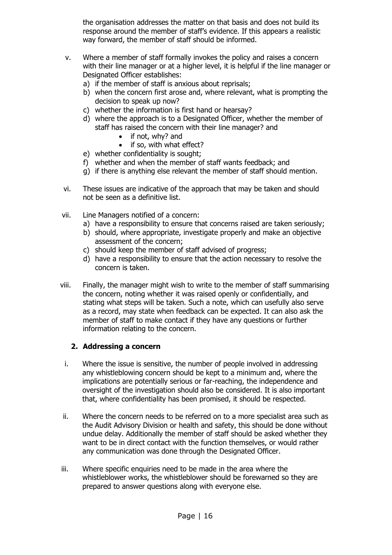the organisation addresses the matter on that basis and does not build its response around the member of staff's evidence. If this appears a realistic way forward, the member of staff should be informed.

- v. Where a member of staff formally invokes the policy and raises a concern with their line manager or at a higher level, it is helpful if the line manager or Designated Officer establishes:
	- a) if the member of staff is anxious about reprisals;
	- b) when the concern first arose and, where relevant, what is prompting the decision to speak up now?
	- c) whether the information is first hand or hearsay?
	- d) where the approach is to a Designated Officer, whether the member of staff has raised the concern with their line manager? and
		- if not, why? and
		- if so, with what effect?
	- e) whether confidentiality is sought;
	- f) whether and when the member of staff wants feedback; and
	- g) if there is anything else relevant the member of staff should mention.
- vi. These issues are indicative of the approach that may be taken and should not be seen as a definitive list.
- vii. Line Managers notified of a concern:
	- a) have a responsibility to ensure that concerns raised are taken seriously;
	- b) should, where appropriate, investigate properly and make an objective assessment of the concern;
	- c) should keep the member of staff advised of progress;
	- d) have a responsibility to ensure that the action necessary to resolve the concern is taken.
- viii. Finally, the manager might wish to write to the member of staff summarising the concern, noting whether it was raised openly or confidentially, and stating what steps will be taken. Such a note, which can usefully also serve as a record, may state when feedback can be expected. It can also ask the member of staff to make contact if they have any questions or further information relating to the concern.

#### **2. Addressing a concern**

- i. Where the issue is sensitive, the number of people involved in addressing any whistleblowing concern should be kept to a minimum and, where the implications are potentially serious or far-reaching, the independence and oversight of the investigation should also be considered. It is also important that, where confidentiality has been promised, it should be respected.
- ii. Where the concern needs to be referred on to a more specialist area such as the Audit Advisory Division or health and safety, this should be done without undue delay. Additionally the member of staff should be asked whether they want to be in direct contact with the function themselves, or would rather any communication was done through the Designated Officer.
- iii. Where specific enquiries need to be made in the area where the whistleblower works, the whistleblower should be forewarned so they are prepared to answer questions along with everyone else.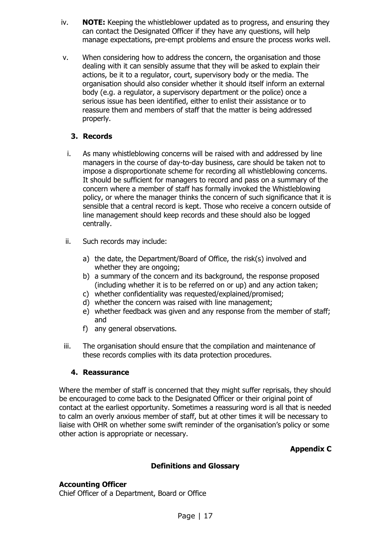- iv. **NOTE:** Keeping the whistleblower updated as to progress, and ensuring they can contact the Designated Officer if they have any questions, will help manage expectations, pre-empt problems and ensure the process works well.
- v. When considering how to address the concern, the organisation and those dealing with it can sensibly assume that they will be asked to explain their actions, be it to a regulator, court, supervisory body or the media. The organisation should also consider whether it should itself inform an external body (e.g. a regulator, a supervisory department or the police) once a serious issue has been identified, either to enlist their assistance or to reassure them and members of staff that the matter is being addressed properly.

### **3. Records**

- i. As many whistleblowing concerns will be raised with and addressed by line managers in the course of day-to-day business, care should be taken not to impose a disproportionate scheme for recording all whistleblowing concerns. It should be sufficient for managers to record and pass on a summary of the concern where a member of staff has formally invoked the Whistleblowing policy, or where the manager thinks the concern of such significance that it is sensible that a central record is kept. Those who receive a concern outside of line management should keep records and these should also be logged centrally.
- ii. Such records may include:
	- a) the date, the Department/Board of Office, the risk(s) involved and whether they are ongoing;
	- b) a summary of the concern and its background, the response proposed (including whether it is to be referred on or up) and any action taken;
	- c) whether confidentiality was requested/explained/promised;
	- d) whether the concern was raised with line management;
	- e) whether feedback was given and any response from the member of staff; and
	- f) any general observations.
- iii. The organisation should ensure that the compilation and maintenance of these records complies with its data protection procedures.

#### **4. Reassurance**

Where the member of staff is concerned that they might suffer reprisals, they should be encouraged to come back to the Designated Officer or their original point of contact at the earliest opportunity. Sometimes a reassuring word is all that is needed to calm an overly anxious member of staff, but at other times it will be necessary to liaise with OHR on whether some swift reminder of the organisation's policy or some other action is appropriate or necessary.

**Appendix C**

#### **Definitions and Glossary**

### <span id="page-16-1"></span><span id="page-16-0"></span>**Accounting Officer**

Chief Officer of a Department, Board or Office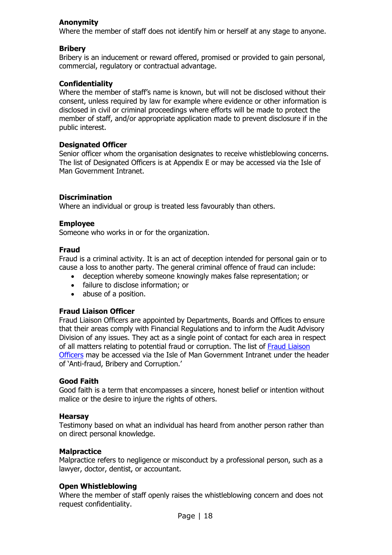#### **Anonymity**

Where the member of staff does not identify him or herself at any stage to anyone.

#### **Bribery**

Bribery is an inducement or reward offered, promised or provided to gain personal, commercial, regulatory or contractual advantage.

#### **Confidentiality**

Where the member of staff's name is known, but will not be disclosed without their consent, unless required by law for example where evidence or other information is disclosed in civil or criminal proceedings where efforts will be made to protect the member of staff, and/or appropriate application made to prevent disclosure if in the public interest.

#### **Designated Officer**

Senior officer whom the organisation designates to receive whistleblowing concerns. The list of Designated Officers is at Appendix E or may be accessed via the Isle of Man Government Intranet.

#### **Discrimination**

Where an individual or group is treated less favourably than others.

#### **Employee**

Someone who works in or for the organization.

#### **Fraud**

Fraud is a criminal activity. It is an act of deception intended for personal gain or to cause a loss to another party. The general criminal offence of fraud can include:

- deception whereby someone knowingly makes false representation; or
- failure to disclose information; or
- abuse of a position.

#### **Fraud Liaison Officer**

Fraud Liaison Officers are appointed by Departments, Boards and Offices to ensure that their areas comply with Financial Regulations and to inform the Audit Advisory Division of any issues. They act as a single point of contact for each area in respect of all matters relating to potential fraud or corruption. The list of [Fraud Liaison](http://rheynnfys/Government/AntiFraud/default.aspx)  [Officers](http://rheynnfys/Government/AntiFraud/default.aspx) may be accessed via the Isle of Man Government Intranet under the header of 'Anti-fraud, Bribery and Corruption.'

#### **Good Faith**

Good faith is a term that encompasses a sincere, honest belief or intention without malice or the desire to injure the rights of others.

#### **Hearsay**

Testimony based on what an individual has heard from another person rather than on direct personal knowledge.

#### **Malpractice**

Malpractice refers to negligence or misconduct by a professional person, such as a lawyer, doctor, dentist, or accountant.

#### **Open Whistleblowing**

Where the member of staff openly raises the whistleblowing concern and does not request confidentiality.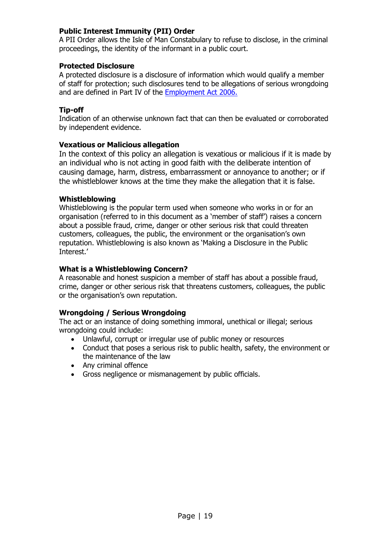### **Public Interest Immunity (PII) Order**

A PII Order allows the Isle of Man Constabulary to refuse to disclose, in the criminal proceedings, the identity of the informant in a public court.

#### **Protected Disclosure**

A protected disclosure is a disclosure of information which would qualify a member of staff for protection; such disclosures tend to be allegations of serious wrongdoing and are defined in Part IV of the [Employment](http://www.legislation.gov.im/cms/images/LEGISLATION/PRINCIPAL/2006/2006-0021/EmploymentAct2006_4.pdf) Act 2006.

### **Tip-off**

Indication of an otherwise unknown fact that can then be evaluated or corroborated by independent evidence.

#### **Vexatious or Malicious allegation**

In the context of this policy an allegation is vexatious or malicious if it is made by an individual who is not acting in good faith with the deliberate intention of causing damage, harm, distress, embarrassment or annoyance to another; or if the whistleblower knows at the time they make the allegation that it is false.

#### **Whistleblowing**

Whistleblowing is the popular term used when someone who works in or for an organisation (referred to in this document as a 'member of staff') raises a concern about a possible fraud, crime, danger or other serious risk that could threaten customers, colleagues, the public, the environment or the organisation's own reputation. Whistleblowing is also known as 'Making a Disclosure in the Public Interest.'

#### **What is a Whistleblowing Concern?**

A reasonable and honest suspicion a member of staff has about a possible fraud, crime, danger or other serious risk that threatens customers, colleagues, the public or the organisation's own reputation.

#### **Wrongdoing / Serious Wrongdoing**

The act or an instance of doing something immoral, unethical or illegal; serious wrongdoing could include:

- Unlawful, corrupt or irregular use of public money or resources
- Conduct that poses a serious risk to public health, safety, the environment or the maintenance of the law
- Any criminal offence
- Gross negligence or mismanagement by public officials.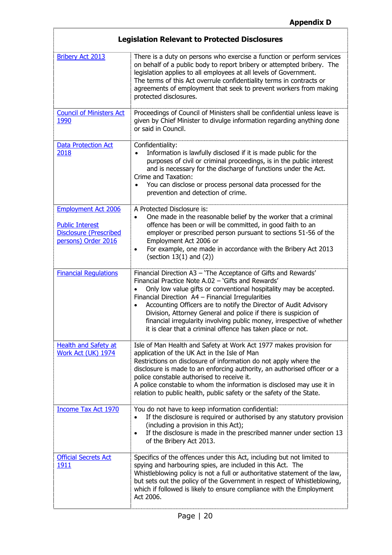<span id="page-19-1"></span><span id="page-19-0"></span>

| <b>Legislation Relevant to Protected Disclosures</b>                                                         |                                                                                                                                                                                                                                                                                                                                                                                                                                                                                                                               |  |  |
|--------------------------------------------------------------------------------------------------------------|-------------------------------------------------------------------------------------------------------------------------------------------------------------------------------------------------------------------------------------------------------------------------------------------------------------------------------------------------------------------------------------------------------------------------------------------------------------------------------------------------------------------------------|--|--|
| <b>Bribery Act 2013</b>                                                                                      | There is a duty on persons who exercise a function or perform services<br>on behalf of a public body to report bribery or attempted bribery. The<br>legislation applies to all employees at all levels of Government.<br>The terms of this Act overrule confidentiality terms in contracts or<br>agreements of employment that seek to prevent workers from making<br>protected disclosures.                                                                                                                                  |  |  |
| <b>Council of Ministers Act</b><br>1990                                                                      | Proceedings of Council of Ministers shall be confidential unless leave is<br>given by Chief Minister to divulge information regarding anything done<br>or said in Council.                                                                                                                                                                                                                                                                                                                                                    |  |  |
| <b>Data Protection Act</b><br>2018                                                                           | Confidentiality:<br>Information is lawfully disclosed if it is made public for the<br>purposes of civil or criminal proceedings, is in the public interest<br>and is necessary for the discharge of functions under the Act.<br>Crime and Taxation:<br>You can disclose or process personal data processed for the<br>prevention and detection of crime.                                                                                                                                                                      |  |  |
| <b>Employment Act 2006</b><br><b>Public Interest</b><br><b>Disclosure (Prescribed</b><br>persons) Order 2016 | A Protected Disclosure is:<br>One made in the reasonable belief by the worker that a criminal<br>offence has been or will be committed, in good faith to an<br>employer or prescribed person pursuant to sections 51-56 of the<br>Employment Act 2006 or<br>For example, one made in accordance with the Bribery Act 2013<br>(section $13(1)$ and $(2)$ )                                                                                                                                                                     |  |  |
| <b>Financial Regulations</b>                                                                                 | Financial Direction A3 - 'The Acceptance of Gifts and Rewards'<br>Financial Practice Note A.02 - 'Gifts and Rewards'<br>Only low value gifts or conventional hospitality may be accepted.<br>Financial Direction A4 - Financial Irregularities<br>Accounting Officers are to notify the Director of Audit Advisory<br>Division, Attorney General and police if there is suspicion of<br>financial irregularity involving public money, irrespective of whether<br>it is clear that a criminal offence has taken place or not. |  |  |
| <b>Health and Safety at</b><br>Work Act (UK) 1974                                                            | Isle of Man Health and Safety at Work Act 1977 makes provision for<br>application of the UK Act in the Isle of Man<br>Restrictions on disclosure of information do not apply where the<br>disclosure is made to an enforcing authority, an authorised officer or a<br>police constable authorised to receive it.<br>A police constable to whom the information is disclosed may use it in<br>relation to public health, public safety or the safety of the State.                                                             |  |  |
| <b>Income Tax Act 1970</b>                                                                                   | You do not have to keep information confidential:<br>If the disclosure is required or authorised by any statutory provision<br>(including a provision in this Act);<br>If the disclosure is made in the prescribed manner under section 13<br>of the Bribery Act 2013.                                                                                                                                                                                                                                                        |  |  |
| <b>Official Secrets Act</b><br><u> 1911</u>                                                                  | Specifics of the offences under this Act, including but not limited to<br>spying and harbouring spies, are included in this Act. The<br>Whistleblowing policy is not a full or authoritative statement of the law,<br>but sets out the policy of the Government in respect of Whistleblowing,<br>which if followed is likely to ensure compliance with the Employment<br>Act 2006.                                                                                                                                            |  |  |

T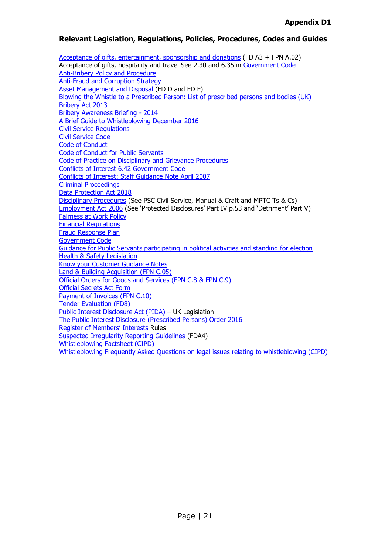#### <span id="page-20-1"></span><span id="page-20-0"></span>**Relevant Legislation, Regulations, Policies, Procedures, Codes and Guides**

[Acceptance of gifts, entertainment, sponsorship and donations](http://rheynnfys/Employee/Allowances/default.aspx) (FD A3 + FPN A.02) Acceptance of gifts, hospitality and travel See 2.30 and 6.35 in [Government Code](https://hr.gov.im/media/1189/the-government-code-february-2017.pdf) [Anti-Bribery Policy and Procedure](https://hr.gov.im/media/1154/20190821-anti-bribery-policy-v3-2017-updated-aug-19-links-terms-final-w-flowchart.pdf) [Anti-Fraud and Corruption](http://rheynnfys/Government/AntiFraud/default.aspx) Strategy [Asset Management and Disposal](https://www.gov.im/media/1366335/financial-regulations-1-july-2020.pdf) (FD D and FD F) [Blowing the Whistle to a Prescribed Person: List of prescribed persons and bodies \(UK\)](https://www.gov.uk/government/uploads/system/uploads/attachment_data/file/502773/BIS-16-79-blowing-the-whistle-to-a-prescribed-person.pdf) [Bribery Act 2013](http://www.legislation.gov.im/cms/images/LEGISLATION/PRINCIPAL/2013/2013-0007/BriberyAct2013_1.pdf) [Bribery Awareness Briefing -](http://rheynnfys/Government/AntiFraud/default.aspx) 2014 [A Brief Guide to Whistleblowing](https://www.gov.im/media/1354615/20161219-whistleblowing-guide-plusjc-2-2.pdf) December 2016 [Civil Service Regulations](https://hr.gov.im/terms-conditions-for-employees/civil-service/section-a-conditions-of-service/political-activities/) [Civil Service Code](https://hr.gov.im/media/1463/civilservicecode.pdf) [Code of Conduct](http://www.gov.im/about-the-government/offices/cabinet-office/corporate-governance/the-code-of-conduct/) [Code of Conduct for Public Servants](https://hr.gov.im/media/1146/urn-8-code-of-conduct-for-public-servants-2017-v2.pdf)  [Code of Practice on Disciplinary and Grievance Procedures](http://www.gov.im/lib/docs/ded/employmentRights/codes/codeofpracticeondisciplinaryand.pdf) [Conflicts of Interest 6.42 Government Code](https://hr.gov.im/media/1189/the-government-code-february-2017.pdf) [Conflicts of Interest: Staff Guidance Note April 2007](http://www.gov.im/lib/docs/cso/corporate/Standards_Conduct/conflictsofinterestguidancenot.pdf) [Criminal Proceedings](https://hr.gov.im/media/1426/criminalproceedingsdisciplinepr.pdf) [Data Protection Act 2018](https://legislation.gov.im/cms/images/LEGISLATION/PRINCIPAL/2018/2018-0010/DataProtectionAct2018_2.pdf) [Disciplinary Procedures](https://hr.gov.im/terms-conditions-for-employees/civil-service/section-a-conditions-of-service/political-activities/) (See PSC Civil Service, Manual & Craft and MPTC Ts & Cs) [Employment Act 2006](http://www.legislation.gov.im/cms/images/LEGISLATION/PRINCIPAL/2006/2006-0021/EmploymentAct2006_4.pdf) (See 'Protected Disclosures' Part IV p.53 and 'Detriment' Part V) [Fairness at Work Policy](https://hr.gov.im/fairness-at-work/) [Financial Regulations](https://www.gov.im/media/1366335/financial-regulations-1-july-2020.pdf) [Fraud Response Plan](http://rheynnfys/Government/AntiFraud/default.aspx) [Government Code](https://hr.gov.im/media/1189/the-government-code-february-2017.pdf) [Guidance for Public Servants participating in political activities and standing](https://hr.gov.im/media/1177/guidanceforpublicservantsipar.pdf) for election [Health & Safety Legislation](https://www.gov.im/categories/business-and-industries/health-and-safety-at-work-inspectorate/legislation/) [Know your Customer Guidance Notes](http://rheynnfys/Government/AntiFraud/default.aspx) [Land & Building Acquisition \(FPN C.05\)](https://www.gov.im/media/1366335/financial-regulations-1-july-2020.pdf) [Official Orders for Goods and Services \(FPN C.8 & FPN C.9\)](https://www.gov.im/media/1366335/financial-regulations-1-july-2020.pdf) [Official Secrets Act Form](https://hr.gov.im/media/1462/officialsecretsact.pdf) [Payment of Invoices](https://www.gov.im/media/1366335/financial-regulations-1-july-2020.pdf) (FPN C.10) [Tender Evaluation](https://www.gov.im/media/1366335/financial-regulations-1-july-2020.pdf) (FD8) [Public Interest Disclosure Act \(PIDA\)](http://www.legislation.gov.uk/ukpga/1998/23/contents) – UK Legislation The Public Interest Disclosure [\(Prescribed Persons\) Order 2016](https://www.gov.im/media/1354554/publicinterestdisclosure-prescribedpersons-order2016.pdf) [Register of Members](http://www.tynwald.org.im/business/pp/Reports/2011-PP-0127.pdf)' Interests Rules [Suspected Irregularity Reporting Guidelines](https://www.gov.im/media/1366335/financial-regulations-1-july-2020.pdf) (FDA4) [Whistleblowing Factsheet \(CIPD\)](http://www.cipd.co.uk/hr-resources/factsheets/whistleblowing.aspx?utm_medium=email&utm_source=cipd&utm_campaign=cipdupdate&utm_term=135158&utm_content=240615-2841-2622-27-20150624145726-Get%20guidance%20on%20whistleblowing%20policies) [Whistleblowing Frequently Asked Questions on legal issues relating to whistleblowing \(CIPD\)](http://www.cipd.co.uk/hr-resources/employment-law-faqs/whistleblowing.aspx?utm_medium=email&utm_source=cipd&utm_campaign=cipdupdate&utm_term=135158&utm_content=240615-2841-2622-27-20150624145000-See%20employment%20law%20FAQs%20on%20whistleblowing)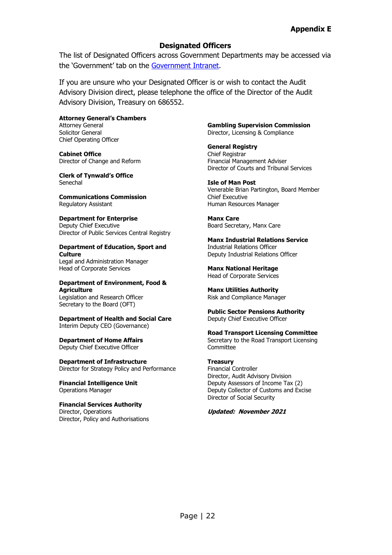#### **Designated Officers**

The list of Designated Officers across Government Departments may be accessed via the 'Government' tab on the [Government Intranet.](http://rheynnfys/Pages/Default.aspx)

If you are unsure who your Designated Officer is or wish to contact the Audit Advisory Division direct, please telephone the office of the Director of the Audit Advisory Division, Treasury on 686552.

**Attorney General's Chambers** Attorney General Solicitor General Chief Operating Officer

**Cabinet Office** Director of Change and Reform

**Clerk of Tynwald's Office** Senechal

**Communications Commission** Regulatory Assistant

#### **Department for Enterprise**

Deputy Chief Executive Director of Public Services Central Registry

#### **Department of Education, Sport and Culture**

Legal and Administration Manager Head of Corporate Services

#### **Department of Environment, Food & Agriculture**

Legislation and Research Officer Secretary to the Board (OFT)

**Department of Health and Social Care** Interim Deputy CEO (Governance)

**Department of Home Affairs** Deputy Chief Executive Officer

**Department of Infrastructure** Director for Strategy Policy and Performance

**Financial Intelligence Unit** Operations Manager

**Financial Services Authority** Director, Operations Director, Policy and Authorisations **Gambling Supervision Commission** Director, Licensing & Compliance

**General Registry**  Chief Registrar Financial Management Adviser Director of Courts and Tribunal Services

**Isle of Man Post** Venerable Brian Partington, Board Member Chief Executive Human Resources Manager

**Manx Care** Board Secretary, Manx Care

**Manx Industrial Relations Service** Industrial Relations Officer Deputy Industrial Relations Officer

**Manx National Heritage** Head of Corporate Services

**Manx Utilities Authority** Risk and Compliance Manager

**Public Sector Pensions Authority** Deputy Chief Executive Officer

**Road Transport Licensing Committee** Secretary to the Road Transport Licensing **Committee** 

#### **Treasury**

Financial Controller Director, Audit Advisory Division Deputy Assessors of Income Tax (2) Deputy Collector of Customs and Excise Director of Social Security

**Updated: November 2021**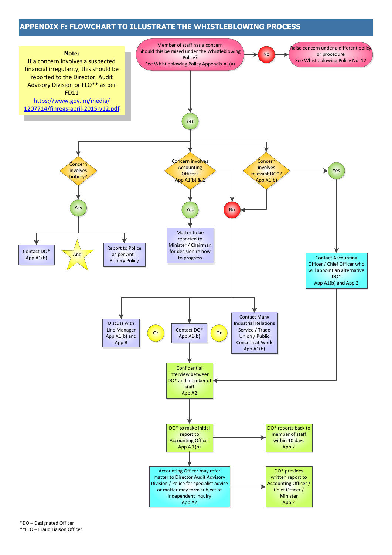#### **APPENDIX F: FLOWCHART TO ILLUSTRATE THE WHISTLEBLOWING PROCESS**